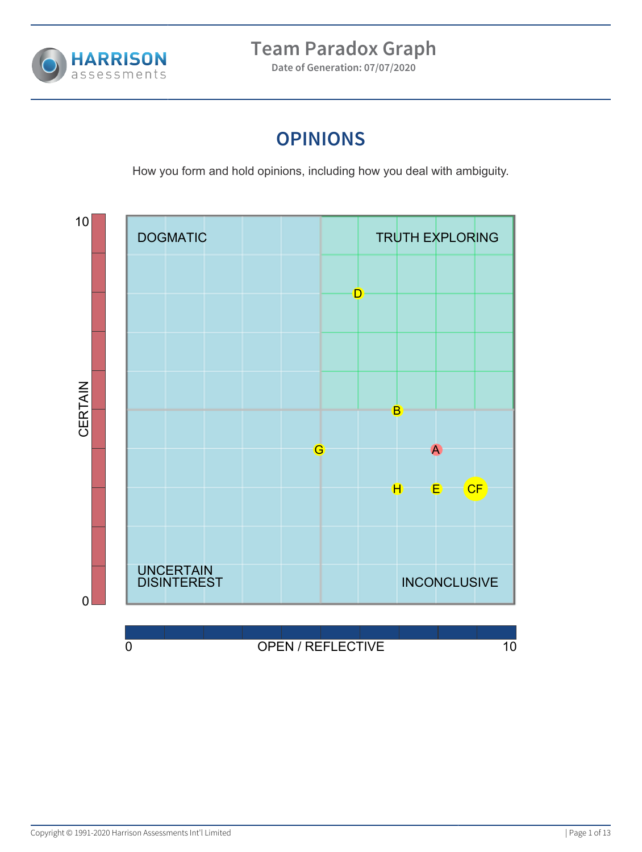

**Date of Generation: 07/07/2020**

## **OPINIONS**

How you form and hold opinions, including how you deal with ambiguity.

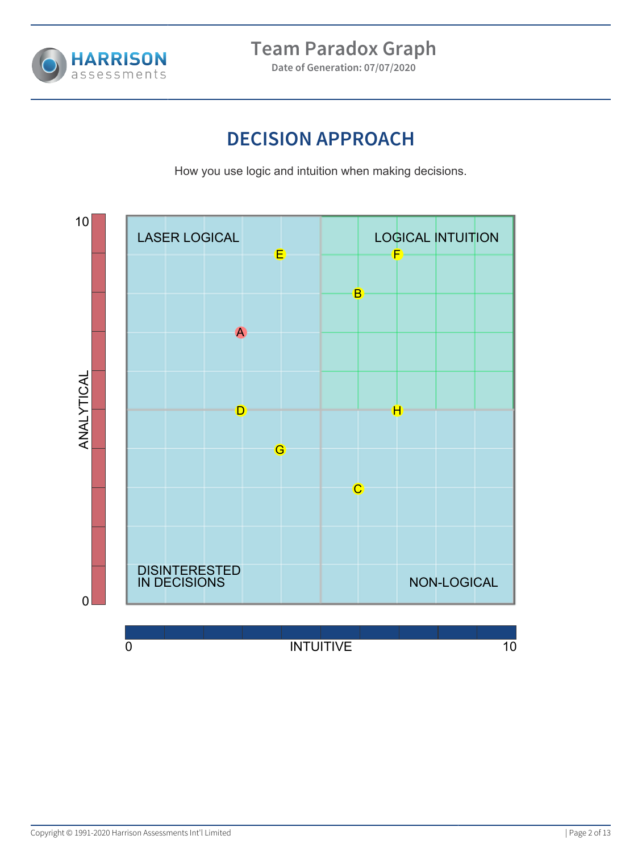

**Date of Generation: 07/07/2020**

## **DECISION APPROACH**

How you use logic and intuition when making decisions.

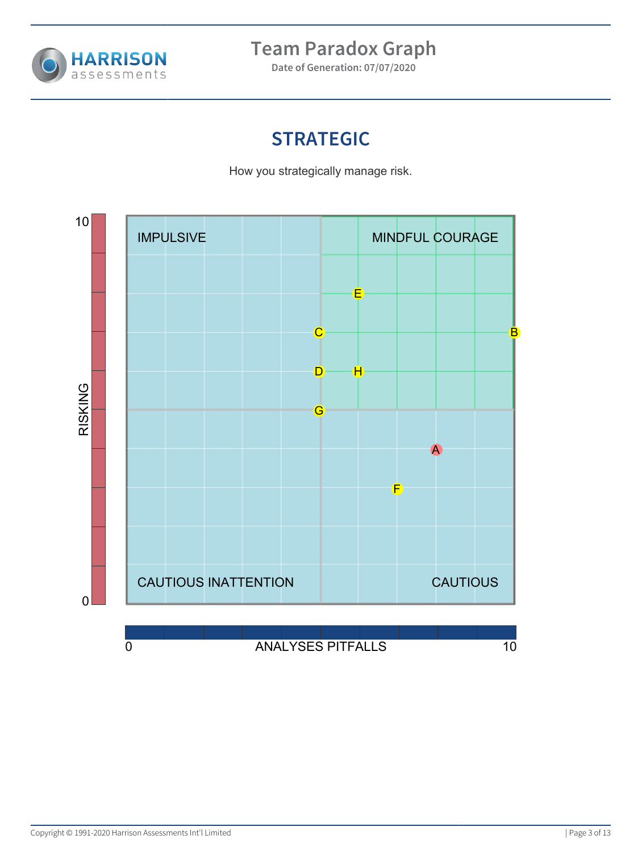

**Date of Generation: 07/07/2020**

# **STRATEGIC**

How you strategically manage risk.

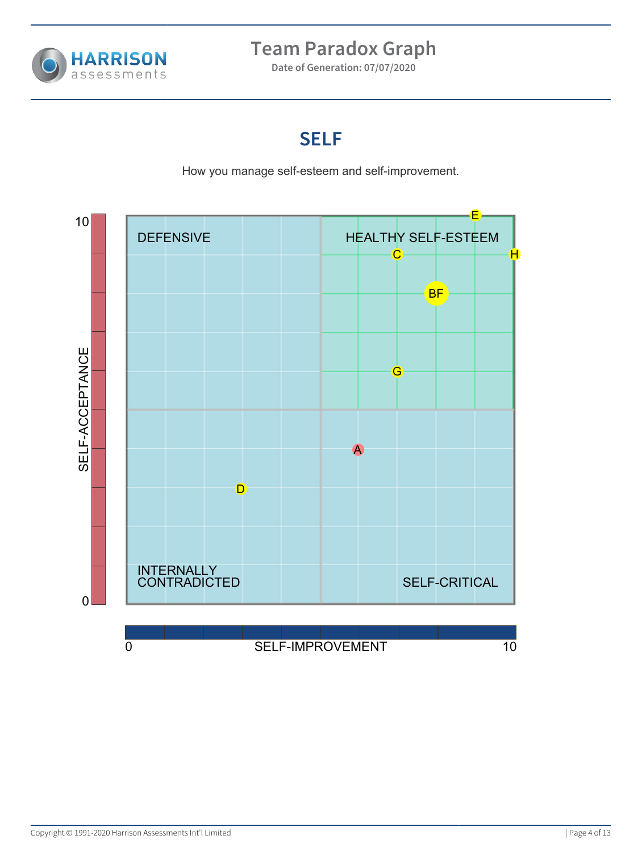

**Date of Generation: 07/07/2020**

#### **SELF**

How you manage self-esteem and self-improvement.

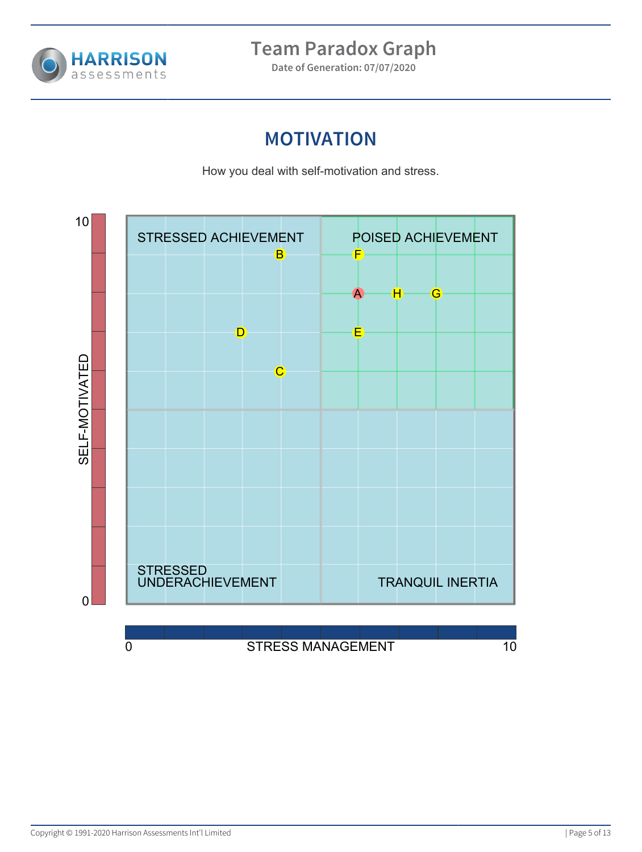

**Date of Generation: 07/07/2020**

### **MOTIVATION**

How you deal with self-motivation and stress.

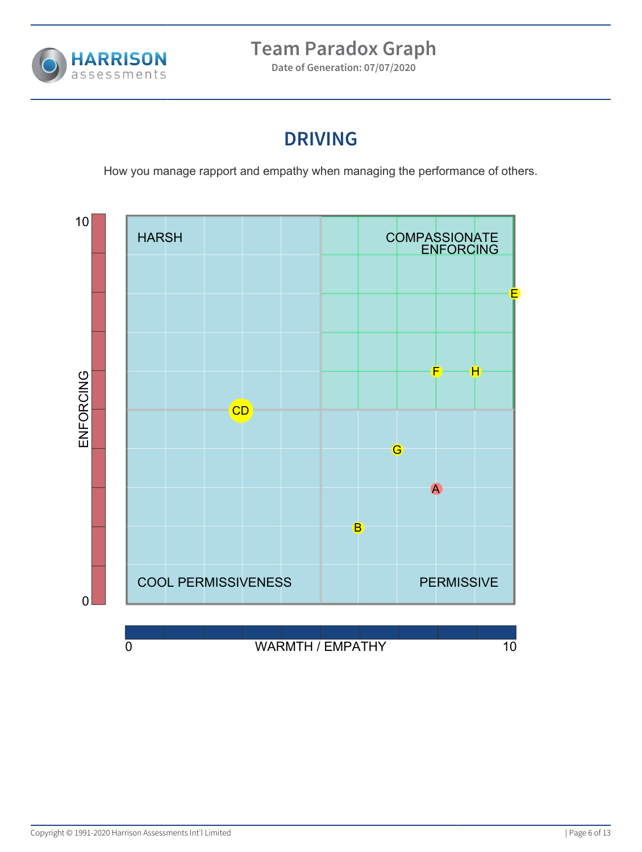

**Date of Generation: 07/07/2020**

## **DRIVING**

How you manage rapport and empathy when managing the performance of others.

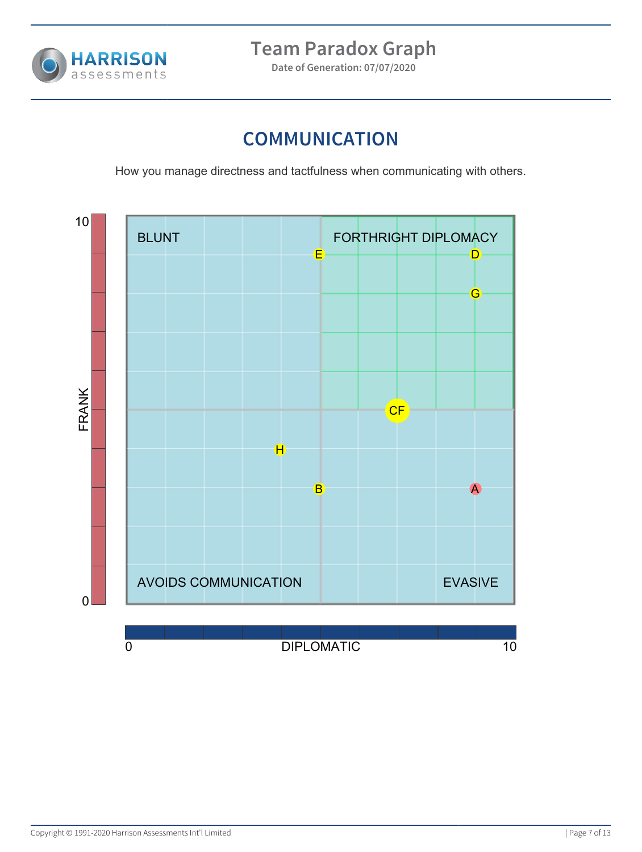

**Date of Generation: 07/07/2020**

## **COMMUNICATION**

How you manage directness and tactfulness when communicating with others.

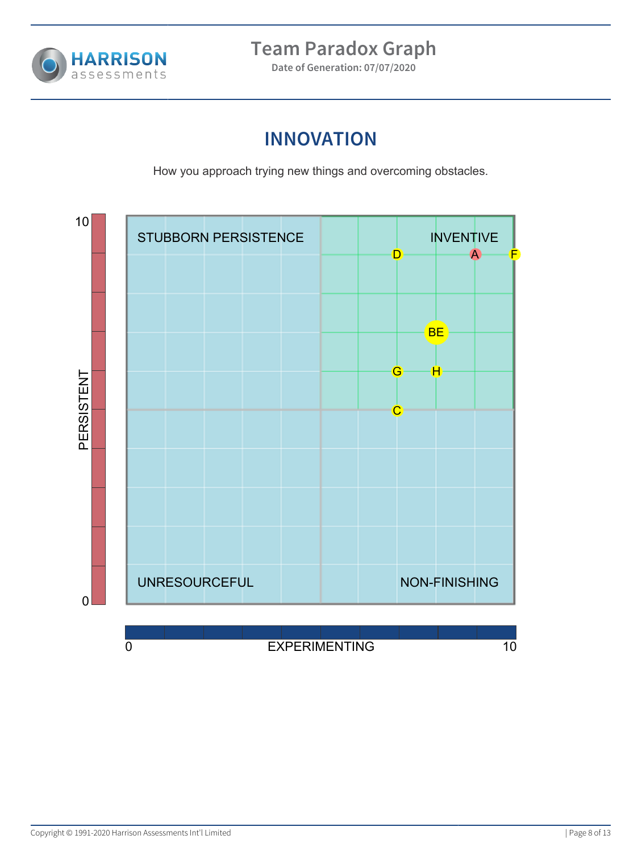

**Date of Generation: 07/07/2020**

## **INNOVATION**

How you approach trying new things and overcoming obstacles.

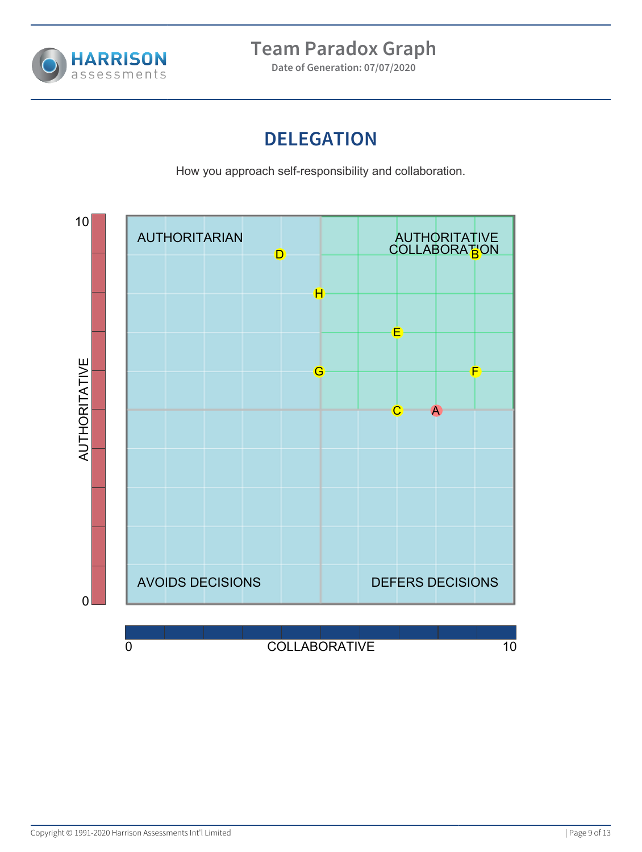

**Date of Generation: 07/07/2020**

## **DELEGATION**

How you approach self-responsibility and collaboration.

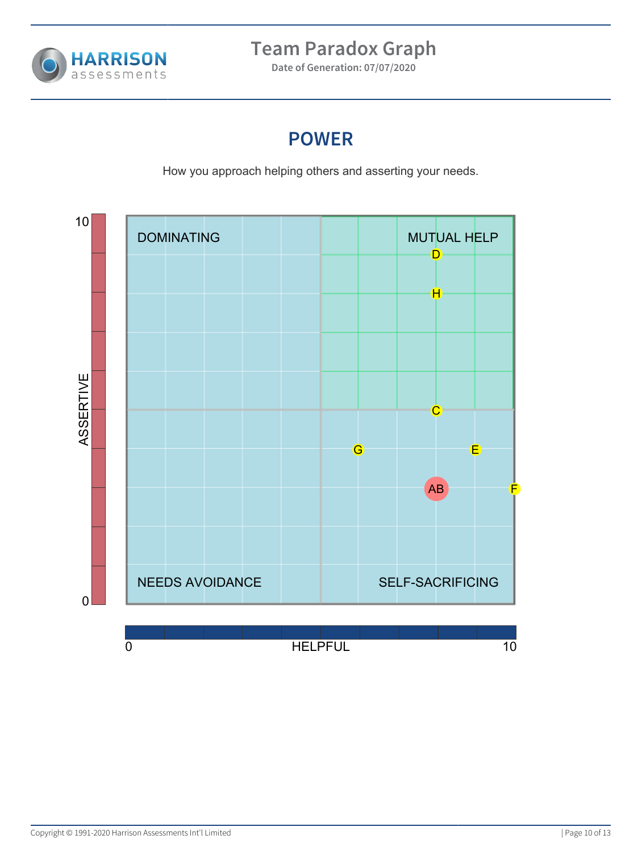

**Date of Generation: 07/07/2020**

#### **POWER**

How you approach helping others and asserting your needs.

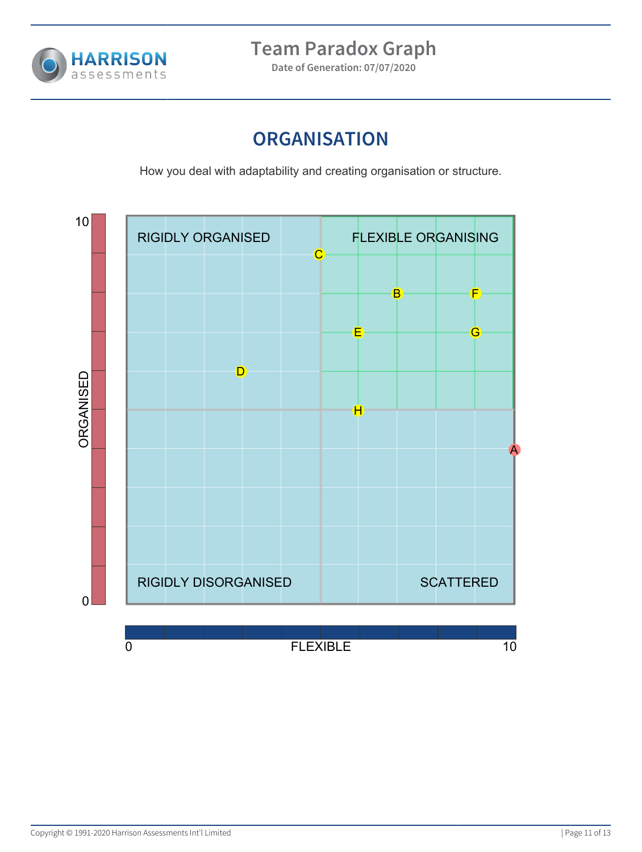

**Date of Generation: 07/07/2020**

### **ORGANISATION**

How you deal with adaptability and creating organisation or structure.

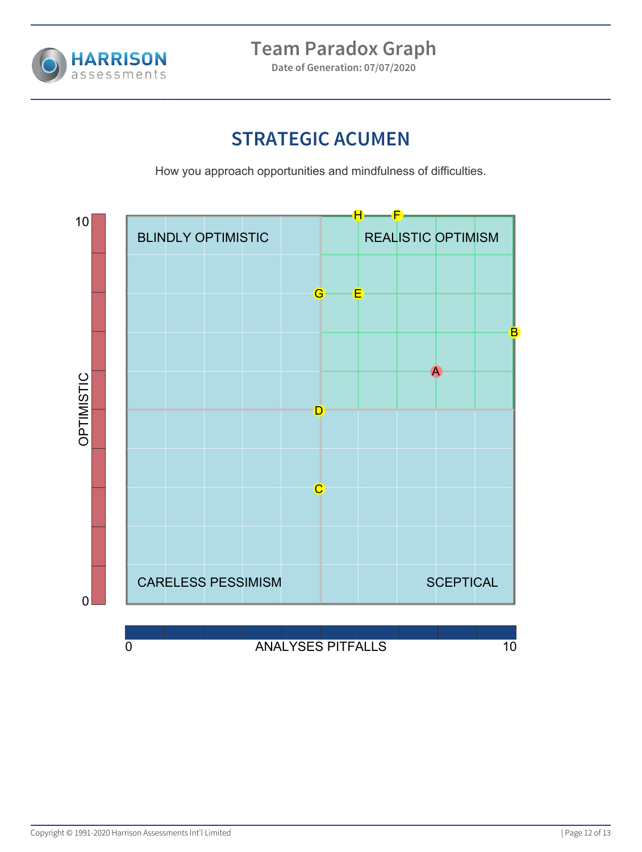

**Date of Generation: 07/07/2020**

## **STRATEGIC ACUMEN**

How you approach opportunities and mindfulness of difficulties.